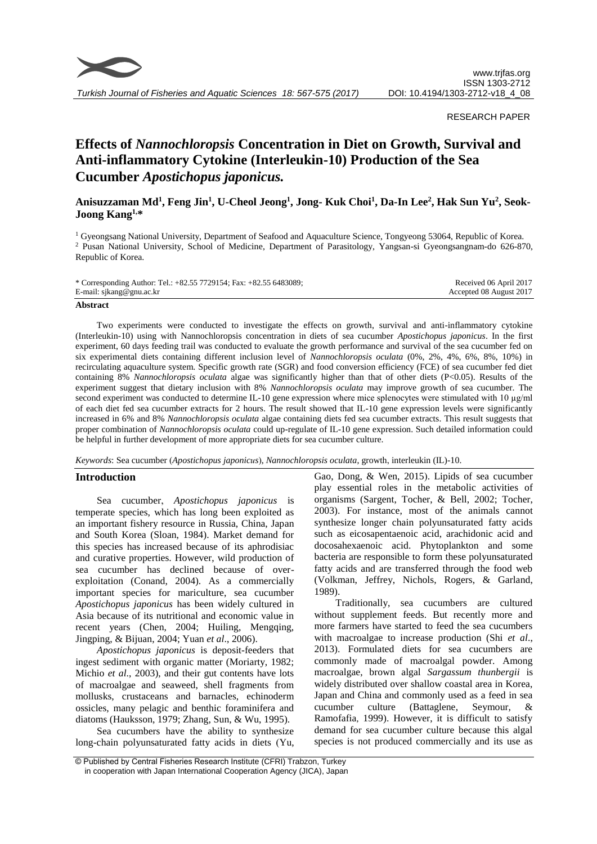

*Turkish Journal of Fisheries and Aquatic Sciences 18: 567-575 (2017)*

# RESEARCH PAPER

# **Effects of** *Nannochloropsis* **Concentration in Diet on Growth, Survival and Anti-inflammatory Cytokine (Interleukin-10) Production of the Sea Cucumber** *Apostichopus japonicus.*

# **Anisuzzaman Md<sup>1</sup> , Feng Jin<sup>1</sup> , U-Cheol Jeong<sup>1</sup> , Jong- Kuk Choi<sup>1</sup> , Da-In Lee<sup>2</sup> , Hak Sun Yu<sup>2</sup> , Seok-Joong Kang1,\***

<sup>1</sup> Gyeongsang National University, Department of Seafood and Aquaculture Science, Tongyeong 53064, Republic of Korea. <sup>2</sup> Pusan National University, School of Medicine, Department of Parasitology, Yangsan-si Gyeongsangnam-do 626-870, Republic of Korea.

| * Corresponding Author: Tel.: +82.55 7729154; Fax: +82.55 6483089; | Received 06 April 2017  |
|--------------------------------------------------------------------|-------------------------|
| E-mail: sjkang@gnu.ac.kr                                           | Accepted 08 August 2017 |

#### **Abstract**

Two experiments were conducted to investigate the effects on growth, survival and anti-inflammatory cytokine (Interleukin-10) using with Nannochloropsis concentration in diets of sea cucumber *Apostichopus japonicus*. In the first experiment, 60 days feeding trail was conducted to evaluate the growth performance and survival of the sea cucumber fed on six experimental diets containing different inclusion level of *Nannochloropsis oculata* (0%, 2%, 4%, 6%, 8%, 10%) in recirculating aquaculture system. Specific growth rate (SGR) and food conversion efficiency (FCE) of sea cucumber fed diet containing 8% *Nannochloropsis oculata* algae was significantly higher than that of other diets (P<0.05). Results of the experiment suggest that dietary inclusion with 8% *Nannochloropsis oculata* may improve growth of sea cucumber. The second experiment was conducted to determine IL-10 gene expression where mice splenocytes were stimulated with 10 µg/ml of each diet fed sea cucumber extracts for 2 hours. The result showed that IL-10 gene expression levels were significantly increased in 6% and 8% *Nannochloropsis oculata* algae containing diets fed sea cucumber extracts. This result suggests that proper combination of *Nannochloropsis oculata* could up-regulate of IL-10 gene expression. Such detailed information could be helpful in further development of more appropriate diets for sea cucumber culture.

*Keywords*: Sea cucumber (*Apostichopus japonicus*), *Nannochloropsis oculata*, growth, interleukin (IL)-10.

# **Introduction**

Sea cucumber, *Apostichopus japonicus* is temperate species, which has long been exploited as an important fishery resource in Russia, China, Japan and South Korea (Sloan, 1984). Market demand for this species has increased because of its aphrodisiac and curative properties. However, wild production of sea cucumber has declined because of overexploitation (Conand, 2004). As a commercially important species for mariculture, sea cucumber *Apostichopus japonicus* has been widely cultured in Asia because of its nutritional and economic value in recent years (Chen, 2004; Huiling, Mengqing, Jingping, & Bijuan, 2004; Yuan *et al*., 2006).

*Apostichopus japonicus* is deposit-feeders that ingest sediment with organic matter (Moriarty, 1982; Michio *et al*., 2003), and their gut contents have lots of macroalgae and seaweed, shell fragments from mollusks, crustaceans and barnacles, echinoderm ossicles, many pelagic and benthic foraminifera and diatoms (Hauksson, 1979; Zhang, Sun, & Wu, 1995).

Sea cucumbers have the ability to synthesize long-chain polyunsaturated fatty acids in diets (Yu,

Gao, Dong, & Wen, 2015). Lipids of sea cucumber play essential roles in the metabolic activities of organisms (Sargent, Tocher, & Bell, 2002; Tocher, 2003). For instance, most of the animals cannot synthesize longer chain polyunsaturated fatty acids such as eicosapentaenoic acid, arachidonic acid and docosahexaenoic acid. Phytoplankton and some bacteria are responsible to form these polyunsaturated fatty acids and are transferred through the food web (Volkman, Jeffrey, Nichols, Rogers, & Garland, 1989).

Traditionally, sea cucumbers are cultured without supplement feeds. But recently more and more farmers have started to feed the sea cucumbers with macroalgae to increase production (Shi *et al*., 2013). Formulated diets for sea cucumbers are commonly made of macroalgal powder. Among macroalgae, brown algal *Sargassum thunbergii* is widely distributed over shallow coastal area in Korea, Japan and China and commonly used as a feed in sea cucumber culture (Battaglene, Seymour, & Ramofafia, 1999). However, it is difficult to satisfy demand for sea cucumber culture because this algal species is not produced commercially and its use as

<sup>©</sup> Published by Central Fisheries Research Institute (CFRI) Trabzon, Turkey in cooperation with Japan International Cooperation Agency (JICA), Japan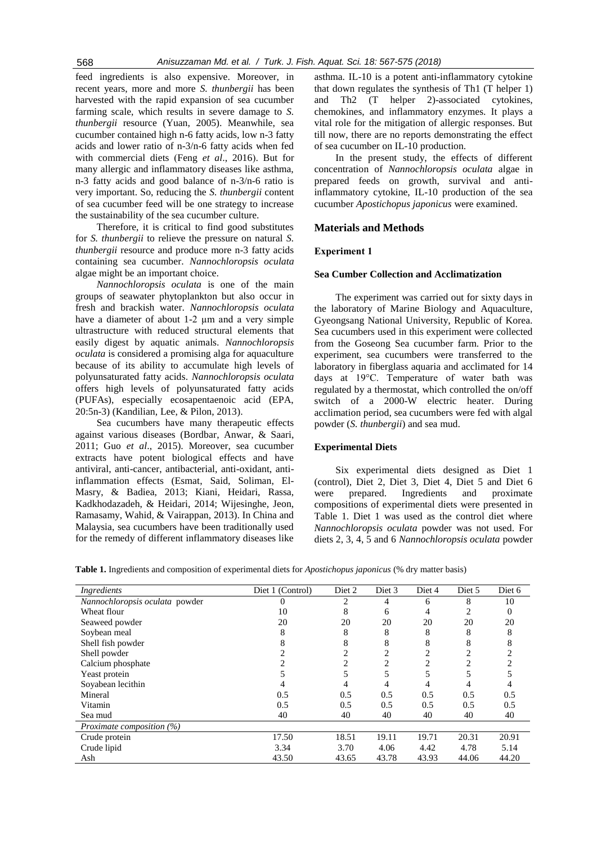feed ingredients is also expensive. Moreover, in recent years, more and more *S. thunbergii* has been harvested with the rapid expansion of sea cucumber farming scale, which results in severe damage to *S. thunbergii* resource (Yuan, 2005). Meanwhile, sea cucumber contained high n-6 fatty acids, low n-3 fatty acids and lower ratio of n-3/n-6 fatty acids when fed with commercial diets (Feng *et al*., 2016). But for many allergic and inflammatory diseases like asthma, n-3 fatty acids and good balance of n-3/n-6 ratio is very important. So, reducing the *S. thunbergii* content of sea cucumber feed will be one strategy to increase the sustainability of the sea cucumber culture.

Therefore, it is critical to find good substitutes for *S. thunbergii* to relieve the pressure on natural *S. thunbergii* resource and produce more n-3 fatty acids containing sea cucumber. *Nannochloropsis oculata* algae might be an important choice.

*Nannochloropsis oculata* is one of the main groups of seawater phytoplankton but also occur in fresh and brackish water. *Nannochloropsis oculata* have a diameter of about 1-2  $\mu$ m and a very simple [ultrastructure](https://en.wikipedia.org/wiki/Ultrastructure) with reduced structural elements that easily digest by aquatic animals. *Nannochloropsis oculata* is considered a promising alga for aquaculture because of its ability to accumulate high levels of [polyunsaturated fatty acids.](https://en.wikipedia.org/wiki/Polyunsaturated_fatty_acids) *Nannochloropsis oculata* offers high levels of polyunsaturated fatty acids (PUFAs), especially ecosapentaenoic acid (EPA, 20:5n-3) (Kandilian, Lee, & Pilon, 2013).

Sea cucumbers have many therapeutic effects against various diseases (Bordbar, Anwar, & Saari, 2011; Guo *et al*., 2015). Moreover, sea cucumber extracts have potent biological effects and have antiviral, anti-cancer, antibacterial, anti-oxidant, antiinflammation effects (Esmat, Said, Soliman, El-Masry, & Badiea, 2013; Kiani, Heidari, Rassa, Kadkhodazadeh, & Heidari, 2014; Wijesinghe, Jeon, Ramasamy, Wahid, & Vairappan, 2013). In China and Malaysia, sea cucumbers have been traditionally used for the remedy of different inflammatory diseases like

asthma. IL-10 is a potent anti-inflammatory cytokine that down regulates the synthesis of Th1 (T helper 1) and Th2 (T helper 2)-associated cytokines, chemokines, and inflammatory enzymes. It plays a vital role for the mitigation of allergic responses. But till now, there are no reports demonstrating the effect of sea cucumber on IL-10 production.

In the present study, the effects of different concentration of *Nannochloropsis oculata* algae in prepared feeds on growth, survival and antiinflammatory cytokine, IL-10 production of the sea cucumber *Apostichopus japonicus* were examined.

# **Materials and Methods**

# **Experiment 1**

# **Sea Cumber Collection and Acclimatization**

The experiment was carried out for sixty days in the laboratory of Marine Biology and Aquaculture, Gyeongsang National University, Republic of Korea. Sea cucumbers used in this experiment were collected from the Goseong Sea cucumber farm. Prior to the experiment, sea cucumbers were transferred to the laboratory in fiberglass aquaria and acclimated for 14 days at 19°C. Temperature of water bath was regulated by a thermostat, which controlled the on/off switch of a 2000-W electric heater. During acclimation period, sea cucumbers were fed with algal powder (*S. thunbergii*) and sea mud.

# **Experimental Diets**

Six experimental diets designed as Diet 1 (control), Diet 2, Diet 3, Diet 4, Diet 5 and Diet 6 were prepared. Ingredients and proximate compositions of experimental diets were presented in Table 1. Diet 1 was used as the control diet where *Nannochloropsis oculata* powder was not used. For diets 2, 3, 4, 5 and 6 *Nannochloropsis oculata* powder

**Table 1.** Ingredients and composition of experimental diets for *Apostichopus japonicus* (% dry matter basis)

| Ingredients                    | Diet 1 (Control) | Diet 3<br>Diet 2 |       | Diet 4 | Diet 5         | Diet 6 |
|--------------------------------|------------------|------------------|-------|--------|----------------|--------|
| Nannochloropsis oculata powder |                  | 2                | 4     | 6      | 8              | 10     |
| Wheat flour                    | 10               | 8                | 6     | 4      | 2              | 0      |
| Seaweed powder                 | 20               | 20               | 20    | 20     | 20             | 20     |
| Soybean meal                   | 8                | 8                | 8     | 8      | 8              | 8      |
| Shell fish powder              | 8                | 8                | 8     | 8      | 8              | ົ      |
| Shell powder                   |                  |                  | 2     | 2      | $\overline{c}$ |        |
| Calcium phosphate              |                  | 2                | 2     | 2      | $\overline{c}$ |        |
| Yeast protein                  |                  |                  |       | 5      |                |        |
| Soyabean lecithin              |                  |                  |       | 4      | 4              |        |
| Mineral                        | 0.5              | 0.5              | 0.5   | 0.5    | 0.5            | 0.5    |
| Vitamin                        | 0.5              | 0.5              | 0.5   | 0.5    | 0.5            | 0.5    |
| Sea mud                        | 40               | 40               | 40    | 40     | 40             | 40     |
| Proximate composition (%)      |                  |                  |       |        |                |        |
| Crude protein                  | 17.50            | 18.51            | 19.11 | 19.71  | 20.31          | 20.91  |
| Crude lipid                    | 3.34             | 3.70             | 4.06  | 4.42   | 4.78           | 5.14   |
| Ash<br>43.50                   |                  | 43.65            | 43.78 | 43.93  | 44.06          | 44.20  |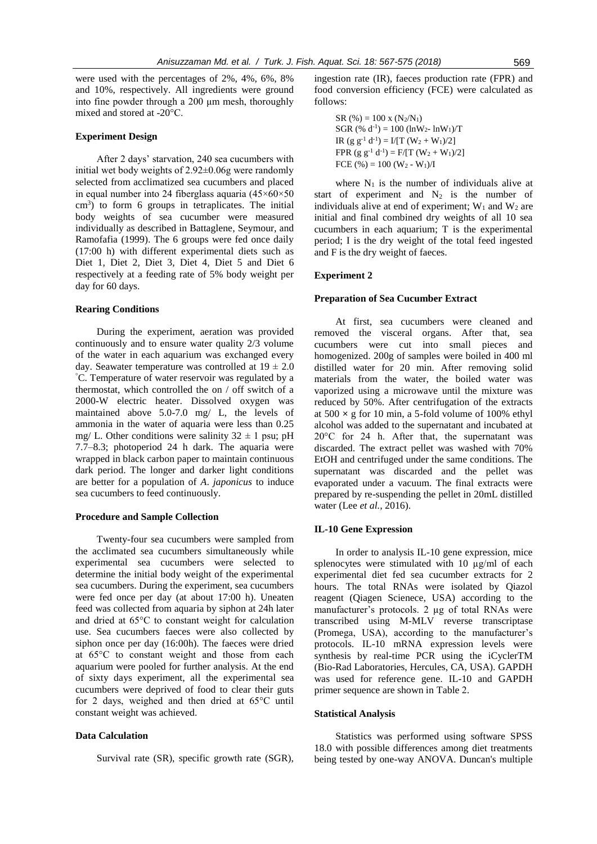were used with the percentages of 2%, 4%, 6%, 8% and 10%, respectively. All ingredients were ground into fine powder through a 200 μm mesh, thoroughly mixed and stored at -20°C.

# **Experiment Design**

After 2 days' starvation, 240 sea cucumbers with initial wet body weights of 2.92±0.06g were randomly selected from acclimatized sea cucumbers and placed in equal number into 24 fiberglass aquaria (45×60×50 cm<sup>3</sup>) to form 6 groups in tetraplicates. The initial body weights of sea cucumber were measured individually as described in Battaglene, Seymour, and Ramofafia (1999). The 6 groups were fed once daily (17:00 h) with different experimental diets such as Diet 1, Diet 2, Diet 3, Diet 4, Diet 5 and Diet 6 respectively at a feeding rate of 5% body weight per day for 60 days.

#### **Rearing Conditions**

During the experiment, aeration was provided continuously and to ensure water quality 2/3 volume of the water in each aquarium was exchanged every day. Seawater temperature was controlled at  $19 \pm 2.0$ °C. Temperature of water reservoir was regulated by a thermostat, which controlled the on / off switch of a 2000-W electric heater. Dissolved oxygen was maintained above 5.0-7.0 mg/ L, the levels of ammonia in the water of aquaria were less than 0.25 mg/ L. Other conditions were salinity  $32 \pm 1$  psu; pH 7.7–8.3; photoperiod 24 h dark. The aquaria were wrapped in black carbon paper to maintain continuous dark period. The longer and darker light conditions are better for a population of *A*. *japonicus* to induce sea cucumbers to feed continuously.

#### **Procedure and Sample Collection**

Twenty-four sea cucumbers were sampled from the acclimated sea cucumbers simultaneously while experimental sea cucumbers were selected to determine the initial body weight of the experimental sea cucumbers. During the experiment, sea cucumbers were fed once per day (at about 17:00 h). Uneaten feed was collected from aquaria by siphon at 24h later and dried at 65°C to constant weight for calculation use. Sea cucumbers faeces were also collected by siphon once per day (16:00h). The faeces were dried at 65°C to constant weight and those from each aquarium were pooled for further analysis. At the end of sixty days experiment, all the experimental sea cucumbers were deprived of food to clear their guts for 2 days, weighed and then dried at 65°C until constant weight was achieved.

# **Data Calculation**

Survival rate (SR), specific growth rate (SGR),

ingestion rate (IR), faeces production rate (FPR) and food conversion efficiency (FCE) were calculated as follows:

SR (%) = 100 x (N2/N1) SGR (% d-1 ) = 100 (lnW2- lnW1)/T IR (g g-1 d -1 ) = I/[T (W<sup>2</sup> + W1)/2] FPR (g g-1 d -1 ) = F/[T (W<sup>2</sup> + W1)/2] FCE (%) = 100 (W<sup>2</sup> - W1)/I

where  $N_1$  is the number of individuals alive at start of experiment and  $N_2$  is the number of individuals alive at end of experiment;  $W_1$  and  $W_2$  are initial and final combined dry weights of all 10 sea cucumbers in each aquarium; T is the experimental period; I is the dry weight of the total feed ingested and F is the dry weight of faeces.

# **Experiment 2**

# **Preparation of Sea Cucumber Extract**

At first, sea cucumbers were cleaned and removed the visceral organs. After that, sea cucumbers were cut into small pieces and homogenized. 200g of samples were boiled in 400 ml distilled water for 20 min. After removing solid materials from the water, the boiled water was vaporized using a microwave until the mixture was reduced by 50%. After centrifugation of the extracts at 500 **×** g for 10 min, a 5-fold volume of 100% ethyl alcohol was added to the supernatant and incubated at 20°C for 24 h. After that, the supernatant was discarded. The extract pellet was washed with 70% EtOH and centrifuged under the same conditions. The supernatant was discarded and the pellet was evaporated under a vacuum. The final extracts were prepared by re-suspending the pellet in 20mL distilled water (Lee *et al.*, 2016).

#### **IL-10 Gene Expression**

In order to analysis IL-10 gene expression, mice splenocytes were stimulated with 10 µg/ml of each experimental diet fed sea cucumber extracts for 2 hours. The total RNAs were isolated by Qiazol reagent (Qiagen Scienece, USA) according to the manufacturer's protocols. 2 µg of total RNAs were transcribed using M-MLV reverse transcriptase (Promega, USA), according to the manufacturer's protocols. IL-10 mRNA expression levels were synthesis by real-time PCR using the iCyclerTM (Bio-Rad Laboratories, Hercules, CA, USA). GAPDH was used for reference gene. IL-10 and GAPDH primer sequence are shown in Table 2.

#### **Statistical Analysis**

Statistics was performed using software SPSS 18.0 with possible differences among diet treatments being tested by one-way ANOVA. Duncan's multiple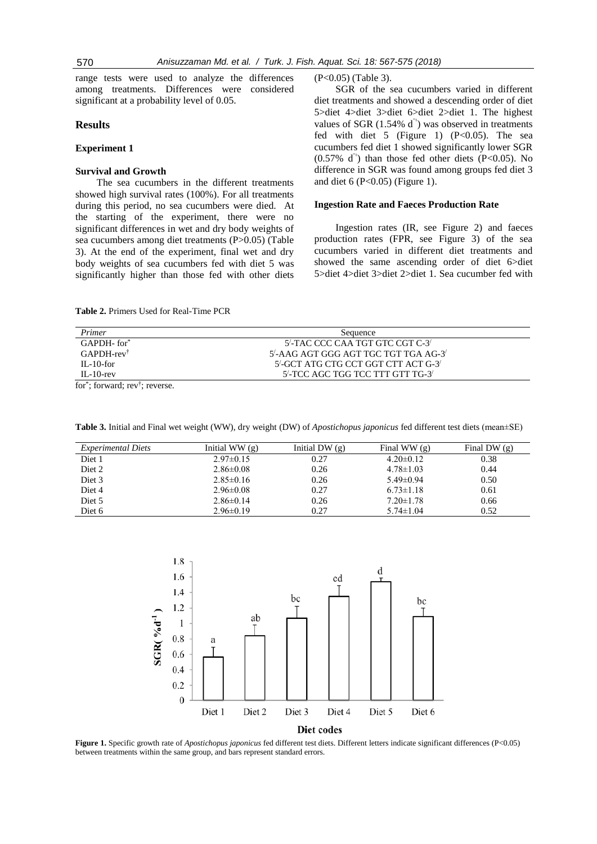range tests were used to analyze the differences among treatments. Differences were considered significant at a probability level of 0.05.

# **Results**

# **Experiment 1**

# **Survival and Growth**

The sea cucumbers in the different treatments showed high survival rates (100%). For all treatments during this period, no sea cucumbers were died. At the starting of the experiment, there were no significant differences in wet and dry body weights of sea cucumbers among diet treatments (P>0.05) (Table 3). At the end of the experiment, final wet and dry body weights of sea cucumbers fed with diet 5 was significantly higher than those fed with other diets (P<0.05) (Table 3).

SGR of the sea cucumbers varied in different diet treatments and showed a descending order of diet 5>diet 4>diet 3>diet 6>diet 2>diet 1. The highest values of SGR  $(1.54\% \text{ d}^{-1})$  was observed in treatments fed with diet 5 (Figure 1)  $(P<0.05)$ . The sea cucumbers fed diet 1 showed significantly lower SGR  $(0.57\% \text{ d}^{-1})$  than those fed other diets (P<0.05). No difference in SGR was found among groups fed diet 3 and diet 6 (P<0.05) (Figure 1).

#### **Ingestion Rate and Faeces Production Rate**

Ingestion rates (IR, see Figure 2) and faeces production rates (FPR, see Figure 3) of the sea cucumbers varied in different diet treatments and showed the same ascending order of diet 6>diet 5>diet 4>diet 3>diet 2>diet 1. Sea cucumber fed with

| Primer                    | Sequence                                   |  |
|---------------------------|--------------------------------------------|--|
| GAPDH-for*                | 5'-TAC CCC CAA TGT GTC CGT C-3'            |  |
| $GAPDH$ -rev <sup>†</sup> | $5'$ -AAG AGT GGG AGT TGC TGT TGA AG-3 $'$ |  |
| $\text{II}$ – 10-for      | $5'$ -GCT ATG CTG CCT GGT CTT ACT G-3'     |  |
| $IL-10$ -rev              | 5'-TCC AGC TGG TCC TTT GTT TG-3'           |  |

**Table 2.** Primers Used for Real-Time PCR

for\* ; forward; rev† ; reverse.

| <i>Experimental Diets</i> | Initial WW $(g)$ | Initial DW $(g)$ | Final WW $(g)$  | Final DW (g) |
|---------------------------|------------------|------------------|-----------------|--------------|
| Diet 1                    | $2.97 \pm 0.15$  | 0.27             | $4.20 \pm 0.12$ | 0.38         |
| Diet 2                    | $2.86 \pm 0.08$  | 0.26             | $4.78 \pm 1.03$ | 0.44         |
| Diet 3                    | $2.85 \pm 0.16$  | 0.26             | $5.49 \pm 0.94$ | 0.50         |
| Diet 4                    | $2.96 \pm 0.08$  | 0.27             | $6.73 \pm 1.18$ | 0.61         |
| Diet 5                    | $2.86 \pm 0.14$  | 0.26             | $7.20 \pm 1.78$ | 0.66         |
| Diet 6                    | $2.96 \pm 0.19$  | 0.27             | $5.74 \pm 1.04$ | 0.52         |

**Table 3.** Initial and Final wet weight (WW), dry weight (DW) of *Apostichopus japonicus* fed different test diets (mean±SE)



**Figure 1.** Specific growth rate of *Apostichopus japonicus* fed different test diets. Different letters indicate significant differences (P<0.05) between treatments within the same group, and bars represent standard errors.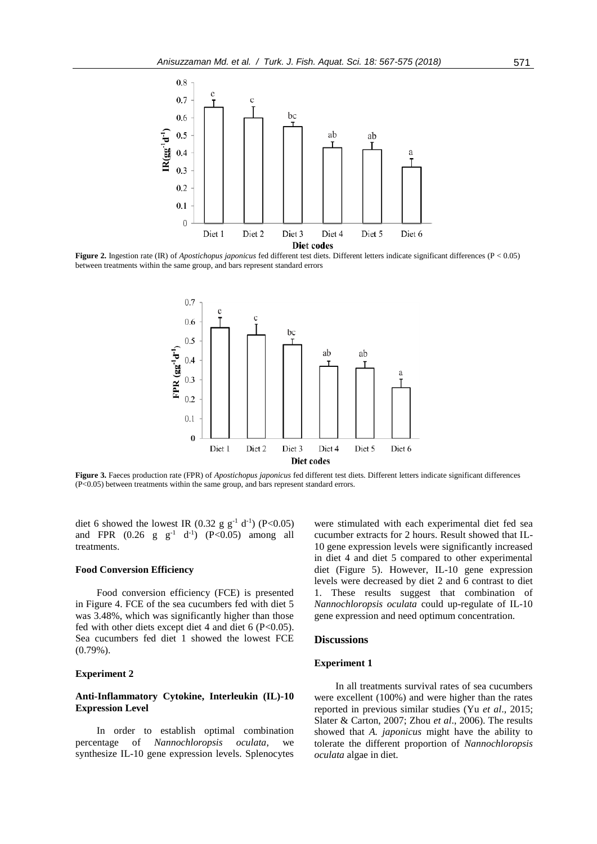

**Figure 2.** Ingestion rate (IR) of *Apostichopus japonicus* fed different test diets. Different letters indicate significant differences (P < 0.05) between treatments within the same group, and bars represent standard errors



**Figure 3.** Faeces production rate (FPR) of *Apostichopus japonicus* fed different test diets. Different letters indicate significant differences (P<0.05) between treatments within the same group, and bars represent standard errors.

diet 6 showed the lowest IR (0.32 g  $g^{-1}$  d<sup>-1</sup>) (P<0.05) and FPR  $(0.26 \text{ g } \text{ g}^{-1} \text{ d}^{-1})$   $(P<0.05)$  among all treatments.

#### **Food Conversion Efficiency**

Food conversion efficiency (FCE) is presented in Figure 4. FCE of the sea cucumbers fed with diet 5 was 3.48%, which was significantly higher than those fed with other diets except diet 4 and diet 6 ( $P<0.05$ ). Sea cucumbers fed diet 1 showed the lowest FCE (0.79%).

#### **Experiment 2**

# **Anti-Inflammatory Cytokine, Interleukin (IL)-10 Expression Level**

In order to establish optimal combination percentage of *Nannochloropsis oculata*, we synthesize IL-10 gene expression levels. Splenocytes

were stimulated with each experimental diet fed sea cucumber extracts for 2 hours. Result showed that IL-10 gene expression levels were significantly increased in diet 4 and diet 5 compared to other experimental diet (Figure 5). However, IL-10 gene expression levels were decreased by diet 2 and 6 contrast to diet 1. These results suggest that combination of *Nannochloropsis oculata* could up-regulate of IL-10 gene expression and need optimum concentration.

#### **Discussions**

#### **Experiment 1**

In all treatments survival rates of sea cucumbers were excellent (100%) and were higher than the rates reported in previous similar studies (Yu *et al*., 2015; Slater & Carton, 2007; Zhou *et al*., 2006). The results showed that *A. japonicus* might have the ability to tolerate the different proportion of *Nannochloropsis oculata* algae in diet.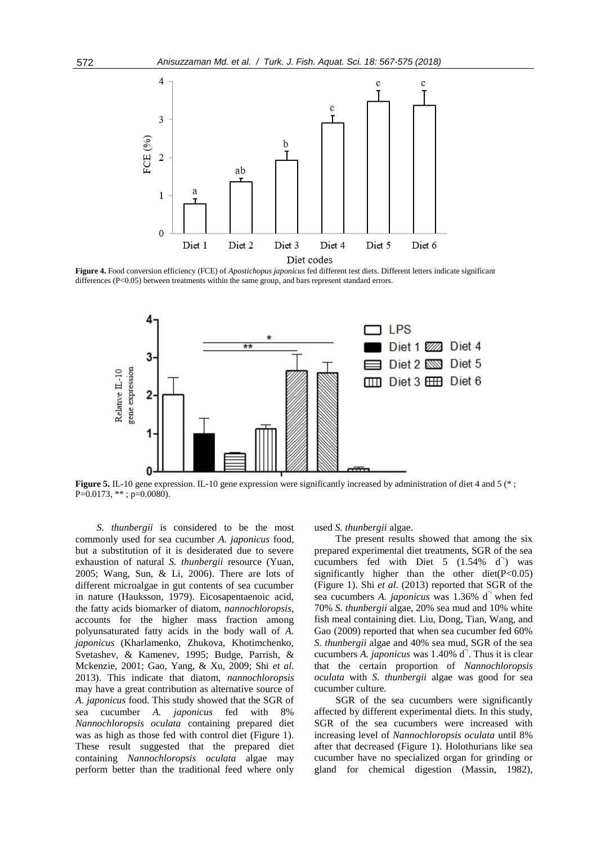

**Figure 4.** Food conversion efficiency (FCE) of *Apostichopus japonicus* fed different test diets. Different letters indicate significant differences (P<0.05) between treatments within the same group, and bars represent standard errors.



**Figure 5.** IL-10 gene expression. IL-10 gene expression were significantly increased by administration of diet 4 and 5 (\*) P=0.0173, \*\*; p=0.0080).

*S. thunbergii* is considered to be the most commonly used for sea cucumber *A. japonicus* food, but a substitution of it is desiderated due to severe exhaustion of natural *S. thunbergii* resource (Yuan, 2005; Wang, Sun, & Li, 2006). There are lots of different microalgae in gut contents of sea cucumber in nature (Hauksson, 1979). Eicosapentaenoic acid, the fatty acids biomarker of diatom, *nannochloropsis*, accounts for the higher mass fraction among polyunsaturated fatty acids in the body wall of *A. japonicus* (Kharlamenko, Zhukova, Khotimchenko, Svetashev, & Kamenev, 1995; Budge, Parrish, & Mckenzie, 2001; Gao, Yang, & Xu, 2009; Shi *et al*. 2013). This indicate that diatom, *nannochloropsis* may have a great contribution as alternative source of *A. japonicus* food. This study showed that the SGR of sea cucumber *A. japonicus* fed with 8% *Nannochloropsis oculata* containing prepared diet was as high as those fed with control diet (Figure 1). These result suggested that the prepared diet containing *Nannochloropsis oculata* algae may perform better than the traditional feed where only used *S. thunbergii* algae.

The present results showed that among the six prepared experimental diet treatments, SGR of the sea cucumbers fed with Diet  $5$   $(1.54\%$  d<sup>-1</sup>) was significantly higher than the other diet $(P<0.05)$ (Figure 1). Shi *et al*. (2013) reported that SGR of the sea cucumbers *A. japonicus* was 1.36% d<sup>-1</sup> when fed 70% *S. thunbergii* algae, 20% sea mud and 10% white fish meal containing diet. Liu, Dong, Tian, Wang, and Gao (2009) reported that when sea cucumber fed 60% *S. thunbergii* algae and 40% sea mud, SGR of the sea cucumbers *A. japonicus* was 1.40% d<sup>-1</sup>. Thus it is clear that the certain proportion of *Nannochloropsis oculata* with *S. thunbergii* algae was good for sea cucumber culture.

SGR of the sea cucumbers were significantly affected by different experimental diets. In this study, SGR of the sea cucumbers were increased with increasing level of *Nannochloropsis oculata* until 8% after that decreased (Figure 1). Holothurians like sea cucumber have no specialized organ for grinding or gland for chemical digestion (Massin, 1982),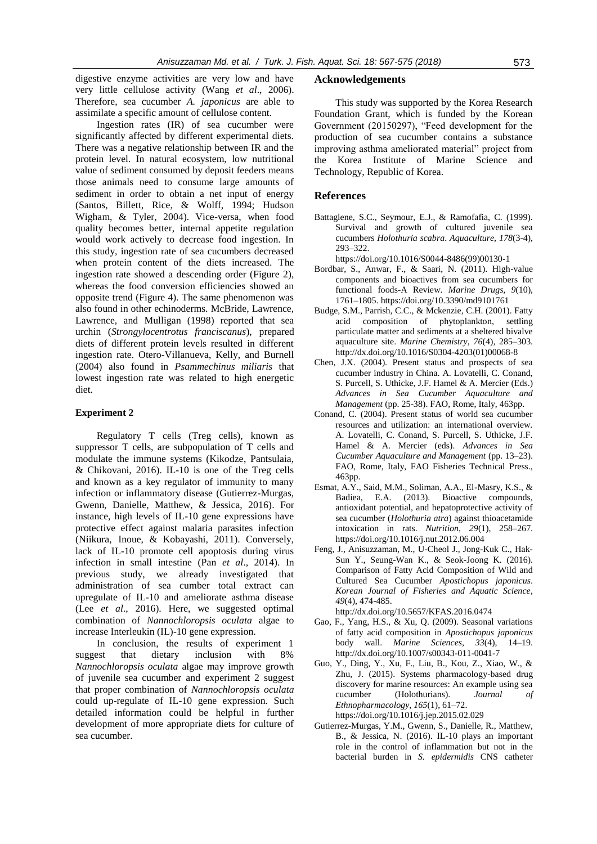digestive enzyme activities are very low and have very little cellulose activity (Wang *et al*., 2006). Therefore, sea cucumber *A. japonicus* are able to assimilate a specific amount of cellulose content.

Ingestion rates (IR) of sea cucumber were significantly affected by different experimental diets. There was a negative relationship between IR and the protein level. In natural ecosystem, low nutritional value of sediment consumed by deposit feeders means those animals need to consume large amounts of sediment in order to obtain a net input of energy (Santos, Billett, Rice, & Wolff, 1994; Hudson Wigham, & Tyler, 2004). Vice-versa, when food quality becomes better, internal appetite regulation would work actively to decrease food ingestion. In this study, ingestion rate of sea cucumbers decreased when protein content of the diets increased. The ingestion rate showed a descending order (Figure 2), whereas the food conversion efficiencies showed an opposite trend (Figure 4). The same phenomenon was also found in other echinoderms. McBride, Lawrence, Lawrence, and Mulligan (1998) reported that sea urchin (*Strongylocentrotus franciscanus*), prepared diets of different protein levels resulted in different ingestion rate. Otero-Villanueva, Kelly, and Burnell (2004) also found in *Psammechinus miliaris* that lowest ingestion rate was related to high energetic diet.

# **Experiment 2**

Regulatory T cells (Treg cells), known as suppressor T cells, are subpopulation of T cells and modulate the immune systems (Kikodze, Pantsulaia, & Chikovani, 2016). IL-10 is one of the Treg cells and known as a key regulator of immunity to many infection or inflammatory disease (Gutierrez-Murgas, Gwenn, Danielle, Matthew, & Jessica, 2016). For instance, high levels of IL-10 gene expressions have protective effect against malaria parasites infection (Niikura, Inoue, & Kobayashi, 2011). Conversely, lack of IL-10 promote cell apoptosis during virus infection in small intestine (Pan *et al*., 2014). In previous study, we already investigated that administration of sea cumber total extract can upregulate of IL-10 and ameliorate asthma disease (Lee *et al*., 2016). Here, we suggested optimal combination of *Nannochloropsis oculata* algae to increase Interleukin (IL)-10 gene expression.

In conclusion, the results of experiment 1 suggest that dietary inclusion with 8% *Nannochloropsis oculata* algae may improve growth of juvenile sea cucumber and experiment 2 suggest that proper combination of *Nannochloropsis oculata* could up-regulate of IL-10 gene expression. Such detailed information could be helpful in further development of more appropriate diets for culture of sea cucumber.

#### **Acknowledgements**

This study was supported by the Korea Research Foundation Grant, which is funded by the Korean Government (20150297), "Feed development for the production of sea cucumber contains a substance improving asthma ameliorated material" project from the Korea Institute of Marine Science and Technology, Republic of Korea.

# **References**

Battaglene, S.C., Seymour, E.J., & Ramofafia, C. (1999). Survival and growth of cultured juvenile sea cucumbers *Holothuria scabra*. *Aquaculture*, *178*(3-4), 293–322.

[https://doi.org/10.1016/S0044-8486\(99\)00130-1](https://doi.org/10.1016/S0044-8486(99)00130-1)

- Bordbar, S., Anwar, F., & Saari, N. (2011). High-value components and bioactives from sea cucumbers for functional foods-A Review. *Marine Drugs*, *9*(10), 1761–1805. https://doi.org[/10.3390/md9101761](https://dx.doi.org/10.3390%2Fmd9101761)
- Budge, S.M., Parrish, C.C., & Mckenzie, C.H. (2001). Fatty acid composition of phytoplankton, settling particulate matter and sediments at a sheltered bivalve aquaculture site. *Marine Chemistry*, *76*(4), 285–303. [http://dx.doi.org/10.1016/S0304-4203\(01\)00068-8](http://dx.doi.org/10.1016/S0304-4203(01)00068-8)
- Chen, J.X. (2004). Present status and prospects of sea cucumber industry in China. A. Lovatelli, C. Conand, S. Purcell, S. Uthicke, J.F. Hamel & A. Mercier (Eds.) *Advances in Sea Cucumber Aquaculture and Management* (pp. 25-38). FAO, Rome, Italy, 463pp.
- Conand, C. (2004). Present status of world sea cucumber resources and utilization: an international overview. A. Lovatelli, C. Conand, S. Purcell, S. Uthicke, J.F. Hamel & A. Mercier (eds). *Advances in Sea Cucumber Aquaculture and Management* (pp. 13–23). FAO, Rome, Italy, FAO Fisheries Technical Press., 463pp.
- Esmat, A.Y., Said, M.M., Soliman, A.A., El-Masry, K.S., & Badiea, E.A. (2013). Bioactive compounds, antioxidant potential, and hepatoprotective activity of sea cucumber (*Holothuria atra*) against thioacetamide intoxication in rats. *Nutrition*, *29*(1), 258–267. <https://doi.org/10.1016/j.nut.2012.06.004>
- Feng, J., Anisuzzaman, M., U-Cheol J., Jong-Kuk C., Hak-Sun Y., Seung-Wan K., & Seok-Joong K. (2016). Comparison of Fatty Acid Composition of Wild and Cultured Sea Cucumber *Apostichopus japonicus*. *Korean Journal of Fisheries and Aquatic Science*, *49*(4), 474-485.

<http://dx.doi.org/10.5657/KFAS.2016.0474>

- Gao, F., Yang, H.S., & Xu, Q. (2009). Seasonal variations of fatty acid composition in *Apostichopus japonicus* body wall. *Marine Sciences*, *33*(4), 14–19. http://dx.doi.org/10.1007/s00343-011-0041-7
- Guo, Y., Ding, Y., Xu, F., Liu, B., Kou, Z., Xiao, W., & Zhu, J. (2015). Systems pharmacology-based drug discovery for marine resources: An example using sea cucumber (Holothurians). *Journal of Ethnopharmacology*, *165*(1), 61–72. <https://doi.org/10.1016/j.jep.2015.02.029>
- Gutierrez-Murgas, Y.M., [Gwenn, S.,](https://www.ncbi.nlm.nih.gov/pubmed/?term=Skar%20G%5BAuthor%5D&cauthor=true&cauthor_uid=27737696) [Danielle, R.,](https://www.ncbi.nlm.nih.gov/pubmed/?term=Ramirez%20D%5BAuthor%5D&cauthor=true&cauthor_uid=27737696) [Matthew,](https://www.ncbi.nlm.nih.gov/pubmed/?term=Beaver%20M%5BAuthor%5D&cauthor=true&cauthor_uid=27737696)  [B.,](https://www.ncbi.nlm.nih.gov/pubmed/?term=Beaver%20M%5BAuthor%5D&cauthor=true&cauthor_uid=27737696) & [Jessica, N.](https://www.ncbi.nlm.nih.gov/pubmed/?term=Snowden%20JN%5BAuthor%5D&cauthor=true&cauthor_uid=27737696) (2016). IL-10 plays an important role in the control of inflammation but not in the bacterial burden in *S. epidermidis* CNS catheter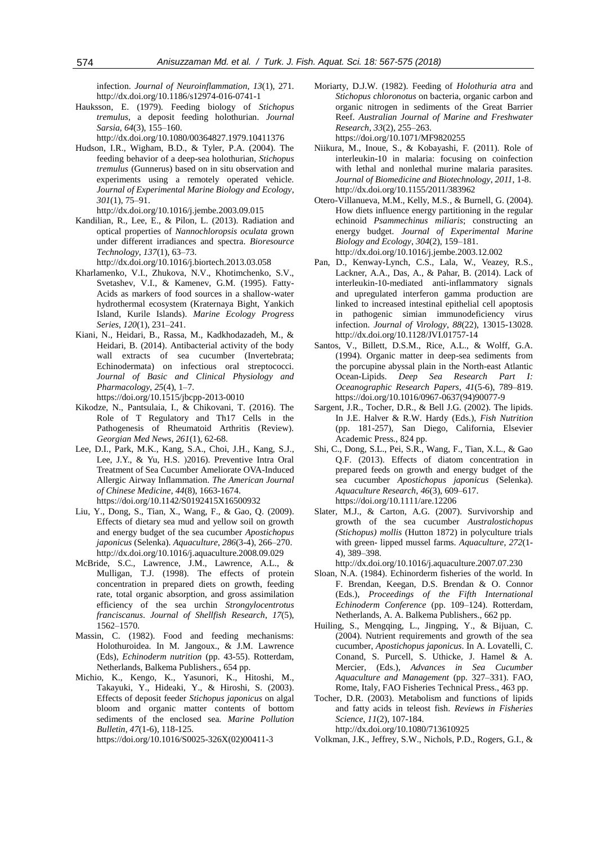infection. *Journal of Neuroinflammation*, *13*(1), 271. http://dx.doi.or[g/10.1186/s12974-016-0741-1](https://dx.doi.org/10.1186%2Fs12974-016-0741-1)

- Hauksson, E. (1979). Feeding biology of *Stichopus tremulus*, a deposit feeding holothurian. *Journal Sarsia*, *64*(3), 155–160. <http://dx.doi.org/10.1080/00364827.1979.10411376>
- Hudson, I.R., Wigham, B.D., & Tyler, P.A. (2004). The feeding behavior of a deep-sea holothurian, *Stichopus tremulus* (Gunnerus) based on in situ observation and experiments using a remotely operated vehicle. *Journal of Experimental Marine Biology and Ecology*, *301*(1), 75–91.
- <http://dx.doi.org/10.1016/j.jembe.2003.09.015> Kandilian, R., Lee, E., & Pilon, L. (2013). [Radiation and](http://www.sciencedirect.com/science/article/pii/S0960852413004264)  optical properties of *[Nannochloropsis oculata](http://www.sciencedirect.com/science/article/pii/S0960852413004264)* grown [under different irradiances and spectra.](http://www.sciencedirect.com/science/article/pii/S0960852413004264) *Bioresource Technology*, *137*(1), 63–73.
- <http://dx.doi.org/10.1016/j.biortech.2013.03.058>
- Kharlamenko, V.I., Zhukova, N.V., Khotimchenko, S.V., Svetashev, V.I., & Kamenev, G.M. (1995). Fatty-Acids as markers of food sources in a shallow-water hydrothermal ecosystem (Kraternaya Bight, Yankich Island, Kurile Islands). *Marine Ecology Progress Series*, *120*(1), 231–241.
- Kiani, N., Heidari, B., Rassa, M., Kadkhodazadeh, M., & Heidari, B. (2014). Antibacterial activity of the body wall extracts of sea cucumber (Invertebrata; Echinodermata) on infectious oral streptococci. *Journal of Basic and Clinical Physiology and Pharmacology*, *25*(4), 1–7.
	- <https://doi.org/10.1515/jbcpp-2013-0010>
- Kikodze, N., Pantsulaia, I., & Chikovani, T. (2016). The Role of T Regulatory and Th17 Cells in the Pathogenesis of Rheumatoid Arthritis (Review). *Georgian Med News*, *261*(1), 62-68.
- Lee, D.I., [Park, M.K.,](https://www.ncbi.nlm.nih.gov/pubmed/?term=Park%20MK%5BAuthor%5D&cauthor=true&cauthor_uid=27852121) [Kang, S.A.,](https://www.ncbi.nlm.nih.gov/pubmed/?term=Kang%20SA%5BAuthor%5D&cauthor=true&cauthor_uid=27852121) [Choi, J.H.,](https://www.ncbi.nlm.nih.gov/pubmed/?term=Choi%20JH%5BAuthor%5D&cauthor=true&cauthor_uid=27852121) [Kang, S.J.](https://www.ncbi.nlm.nih.gov/pubmed/?term=Kang%20SJ%5BAuthor%5D&cauthor=true&cauthor_uid=27852121), [Lee, J.Y.,](https://www.ncbi.nlm.nih.gov/pubmed/?term=Lee%20JY%5BAuthor%5D&cauthor=true&cauthor_uid=27852121) & [Yu, H.S.](https://www.ncbi.nlm.nih.gov/pubmed/?term=Yu%20HS%5BAuthor%5D&cauthor=true&cauthor_uid=27852121) )2016). Preventive Intra Oral Treatment of Sea Cucumber Ameliorate OVA-Induced Allergic Airway Inflammation. *The American Journal of Chinese Medicine*, *44*(8), 1663-1674. <https://doi.org/10.1142/S0192415X16500932>
- Liu, Y., Dong, S., Tian, X., Wang, F., & Gao, Q. (2009). Effects of dietary sea mud and yellow soil on growth and energy budget of the sea cucumber *Apostichopus japonicus* (Selenka). *Aquaculture*, *286*(3-4), 266–270. <http://dx.doi.org/10.1016/j.aquaculture.2008.09.029>
- McBride, S.C., Lawrence, J.M., Lawrence, A.L., & Mulligan, T.J. (1998). The effects of protein concentration in prepared diets on growth, feeding rate, total organic absorption, and gross assimilation efficiency of the sea urchin *Strongylocentrotus franciscanus*. *Journal of Shellfish Research*, *17*(5), 1562–1570.
- Massin, C. (1982). Food and feeding mechanisms: Holothuroidea. In M. Jangoux., & J.M. Lawrence (Eds), *Echinoderm nutrition* (pp. 43-55). Rotterdam, Netherlands, Balkema Publishers., 654 pp.
- Michio, K., Kengo, K., Yasunori, K., Hitoshi, M., Takayuki, Y., Hideaki, Y., & Hiroshi, S. (2003). Effects of deposit feeder *Stichopus japonicus* on algal bloom and organic matter contents of bottom sediments of the enclosed sea. *Marine Pollution Bulletin*, *47*(1-6), 118-125.

[https://doi.org/10.1016/S0025-326X\(02\)00411-3](https://doi.org/10.1016/S0025-326X(02)00411-3)

- Moriarty, D.J.W. (1982). Feeding of *Holothuria atra* and *Stichopus chloronotus* on bacteria, organic carbon and organic nitrogen in sediments of the Great Barrier Reef. *Australian Journal of Marine and Freshwater Research*, *33*(2), 255–263. https://doi.org/10.1071/MF9820255
- Niikura, M., Inoue, S., & Kobayashi, F. (2011). Role of interleukin-10 in malaria: focusing on coinfection with lethal and nonlethal murine malaria parasites. *Journal of Biomedicine and Biotechnology*, *2011*, 1-8. <http://dx.doi.org/10.1155/2011/383962>
- Otero-Villanueva, M.M., Kelly, M.S., & Burnell, G. (2004). How diets influence energy partitioning in the regular echinoid *Psammechinus miliaris*; constructing an energy budget. *Journal of Experimental Marine Biology and Ecology*, *304*(2), 159–181. <http://dx.doi.org/10.1016/j.jembe.2003.12.002>
- [Pan, D.,](https://www.ncbi.nlm.nih.gov/pubmed/?term=Pan%20D%5BAuthor%5D&cauthor=true&cauthor_uid=25165117) [Kenway-Lynch, C.S.,](https://www.ncbi.nlm.nih.gov/pubmed/?term=Kenway-Lynch%20CS%5BAuthor%5D&cauthor=true&cauthor_uid=25165117) [Lala, W.](https://www.ncbi.nlm.nih.gov/pubmed/?term=Lala%20W%5BAuthor%5D&cauthor=true&cauthor_uid=25165117), [Veazey, R.S.](https://www.ncbi.nlm.nih.gov/pubmed/?term=Veazey%20RS%5BAuthor%5D&cauthor=true&cauthor_uid=25165117), [Lackner, A.A.,](https://www.ncbi.nlm.nih.gov/pubmed/?term=Lackner%20AA%5BAuthor%5D&cauthor=true&cauthor_uid=25165117) [Das, A.](https://www.ncbi.nlm.nih.gov/pubmed/?term=Das%20A%5BAuthor%5D&cauthor=true&cauthor_uid=25165117), & [Pahar, B.](https://www.ncbi.nlm.nih.gov/pubmed/?term=Pahar%20B%5BAuthor%5D&cauthor=true&cauthor_uid=25165117) (2014). Lack of interleukin-10-mediated anti-inflammatory signals and upregulated interferon gamma production are linked to increased intestinal epithelial cell apoptosis in pathogenic simian immunodeficiency virus infection. *Journal of Virology*, *88*(22), 13015-13028. http://dx.doi.or[g/10.1128/JVI.01757-14](https://doi.org/10.1128/JVI.01757-14)
- Santos, V., Billett, D.S.M., Rice, A.L., & Wolff, G.A. (1994). Organic matter in deep-sea sediments from the porcupine abyssal plain in the North-east Atlantic Ocean-Lipids. *[Deep Sea Research Part I:](http://www.sciencedirect.com/science/journal/09670637)  [Oceanographic Research Papers,](http://www.sciencedirect.com/science/journal/09670637) 41*(5-6), 789–819. [https://doi.org/10.1016/0967-0637\(94\)90077-9](https://doi.org/10.1016/0967-0637(94)90077-9)
- Sargent, J.R., Tocher, D.R., & Bell J.G. (2002). The lipids. In J.E. Halver & R.W. Hardy (Eds.), *Fish Nutrition* (pp. 181-257), San Diego, California, Elsevier Academic Press., 824 pp.
- Shi, C., Dong, S.L., Pei, S.R., Wang, F., Tian, X.L., & Gao Q.F. (2013). Effects of diatom concentration in prepared feeds on growth and energy budget of the sea cucumber *Apostichopus japonicus* (Selenka). *Aquaculture Research*, *46*(3), 609–617. https://doi.org/10.1111/are.12206
- Slater, M.J., & Carton, A.G. (2007). Survivorship and growth of the sea cucumber *Australostichopus (Stichopus) mollis* (Hutton 1872) in polyculture trials with green- lipped mussel farms. *Aquaculture*, *272*(1- 4), 389–398.
	- <http://dx.doi.org/10.1016/j.aquaculture.2007.07.230>
- Sloan, N.A. (1984). Echinorderm fisheries of the world. In F. Brendan, Keegan, D.S. Brendan & [O. Connor](http://catalogue.nla.gov.au/Record/2110476?lookfor=author:%22International%20Echinoderm%20Conference%20(5th%20:%201984%20:%20Galway,%20Ireland)%22&offset=1&max=1) (Eds.), *Proceedings of the Fifth International Echinoderm Conference* (pp. 109–124). Rotterdam, Netherlands, A. A. Balkema Publishers., 662 pp.
- Huiling, S., Mengqing, L., Jingping, Y., & Bijuan, C. (2004). Nutrient requirements and growth of the sea cucumber, *Apostichopus japonicus*. In A. Lovatelli, C. Conand, S. Purcell, S. Uthicke, J. Hamel & A. Mercier, (Eds.), *Advances in Sea Cucumber Aquaculture and Management* (pp. 327–331). FAO, Rome, Italy, FAO Fisheries Technical Press., 463 pp.
- Tocher, D.R. (2003). Metabolism and functions of lipids and fatty acids in teleost fish. *Reviews in Fisheries Science*, *11*(2), 107-184. http://dx.doi.org/10.1080/713610925
- Volkman, J.K., Jeffrey, S.W., Nichols, P.D., Rogers, G.I., &